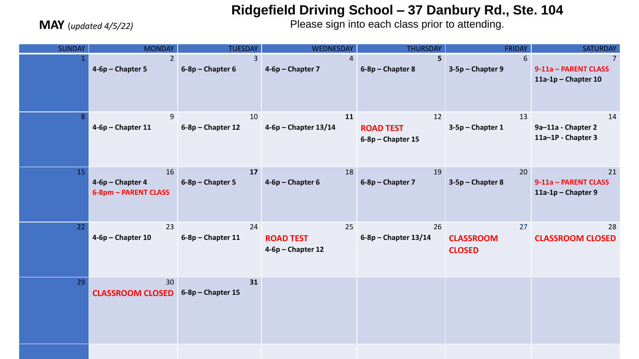## **Ridgefield Driving School – 37 Danbury Rd., Ste. 104**

**MAY** (*updated 4/5/22)*

Please sign into each class prior to attending.

| <b>SUNDAY</b> | <b>MONDAY</b>                                  | <b>TUESDAY</b>                       | <b>WEDNESDAY</b>                            | <b>THURSDAY</b>                               | <b>FRIDAY</b>                           | <b>SATURDAY</b>                                                 |
|---------------|------------------------------------------------|--------------------------------------|---------------------------------------------|-----------------------------------------------|-----------------------------------------|-----------------------------------------------------------------|
|               | $2^{\circ}$<br>$4-6p$ – Chapter 5              | 3 <sup>1</sup><br>$6-8p$ – Chapter 6 | $\overline{4}$<br>4-6p - Chapter 7          | 5 <sub>1</sub><br>6-8p - Chapter 8            | 6<br>3-5p - Chapter 9                   | $\overline{7}$<br>9-11a - PARENT CLASS<br>$11a-1p$ - Chapter 10 |
|               | 9<br>$4-6p$ – Chapter 11                       | 10<br>$6-8p$ – Chapter 12            | 11<br>$4-6p$ – Chapter 13/14                | 12<br><b>ROAD TEST</b><br>$6-8p$ – Chapter 15 | 13<br>$3-5p$ – Chapter 1                | 14<br>9a-11a - Chapter 2<br>11a-1P - Chapter 3                  |
| 15            | 16<br>4-6p - Chapter 4<br>6-8pm - PARENT CLASS | 17<br>$6-8p$ – Chapter 5             | 18<br>$4-6p$ – Chapter 6                    | 19<br>6-8p - Chapter 7                        | 20<br>$3-5p$ – Chapter 8                | 21<br>9-11a - PARENT CLASS<br>$11a-1p$ - Chapter 9              |
| 22            | 23<br>$4-6p$ – Chapter 10                      | 24<br>$6-8p$ – Chapter 11            | 25<br><b>ROAD TEST</b><br>4-6p - Chapter 12 | 26<br>$6-8p$ – Chapter 13/14                  | 27<br><b>CLASSROOM</b><br><b>CLOSED</b> | 28<br><b>CLASSROOM CLOSED</b>                                   |
| 29            | 30<br><b>CLASSROOM CLOSED</b>                  | 31<br>$6-8p$ – Chapter 15            |                                             |                                               |                                         |                                                                 |
|               |                                                |                                      |                                             |                                               |                                         |                                                                 |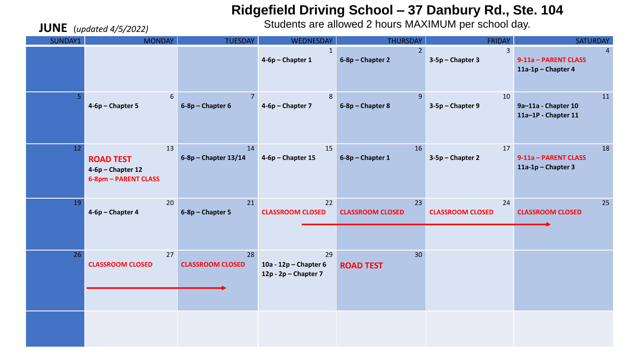## **Ridgefield Driving School – 37 Danbury Rd., Ste. 104**

Students are allowed 2 hours MAXIMUM per school day.

| <b>JUNE</b> (updated 4/5/2022) |                                                                     |                               | Students are allowed 2 hours MAXIMUM per school day. |                                     |                                    |                                                              |
|--------------------------------|---------------------------------------------------------------------|-------------------------------|------------------------------------------------------|-------------------------------------|------------------------------------|--------------------------------------------------------------|
| SUNDAY1                        | <b>MONDAY</b>                                                       | <b>TUESDAY</b>                | <b>WEDNESDAY</b>                                     | <b>THURSDAY</b>                     | <b>FRIDAY</b>                      | <b>SATURDAY</b>                                              |
|                                |                                                                     |                               | $\mathbf{1}$<br>4-6p - Chapter 1                     | 2 <sup>1</sup><br>6-8p - Chapter 2  | $\mathbf{3}$<br>$3-5p$ – Chapter 3 | $\overline{4}$<br>9-11a - PARENT CLASS<br>11a-1p - Chapter 4 |
| 5                              | $\boldsymbol{6}$<br>4-6p - Chapter 5                                | $6-8p$ – Chapter 6            | 8<br>4-6p - Chapter 7                                | 9 <sup>°</sup><br>6-8p - Chapter 8  | 10<br>3-5p - Chapter 9             | 11<br>9a-11a - Chapter 10<br>11a-1P - Chapter 11             |
| 12                             | 13<br><b>ROAD TEST</b><br>4-6p - Chapter 12<br>6-8pm - PARENT CLASS | 14<br>$6-8p$ - Chapter 13/14  | 15<br>$4-6p$ – Chapter 15                            | 16<br>6-8p - Chapter 1              | 17<br>3-5p - Chapter 2             | 18<br>9-11a - PARENT CLASS<br>$11a-1p$ - Chapter 3           |
| 19                             | 20<br>4-6p - Chapter 4                                              | 21<br>6-8p - Chapter 5        | 22<br><b>CLASSROOM CLOSED</b>                        | 23<br><b>CLASSROOM CLOSED</b>       | 24<br><b>CLASSROOM CLOSED</b>      | 25<br><b>CLASSROOM CLOSED</b>                                |
| 26                             | 27<br><b>CLASSROOM CLOSED</b>                                       | 28<br><b>CLASSROOM CLOSED</b> | 29<br>10a - 12p - Chapter 6<br>12p - 2p - Chapter 7  | 30 <sup>°</sup><br><b>ROAD TEST</b> |                                    |                                                              |
|                                |                                                                     |                               |                                                      |                                     |                                    |                                                              |